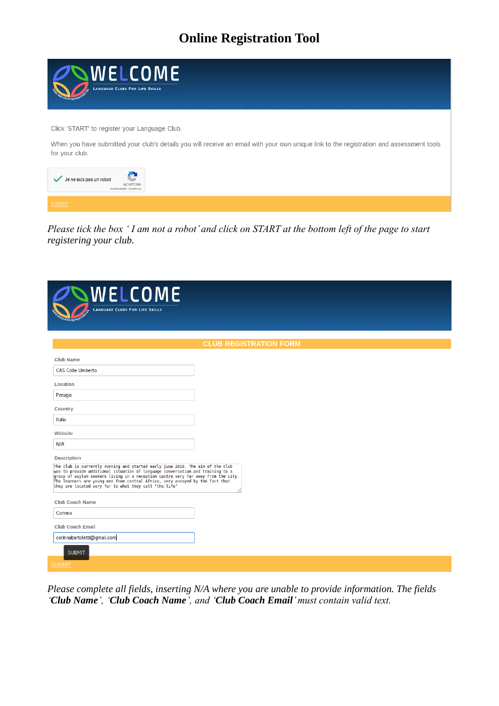

*Please tick the box ' I am not a robot' and click on START at the bottom left of the page to start registering your club.*

| WELCOME<br><b>LANGUAGE CLUBS FOR LIFE SKILLS</b>                                                                                                                                                                                                                                                                                                                                                 |                               |
|--------------------------------------------------------------------------------------------------------------------------------------------------------------------------------------------------------------------------------------------------------------------------------------------------------------------------------------------------------------------------------------------------|-------------------------------|
|                                                                                                                                                                                                                                                                                                                                                                                                  | <b>CLUB REGISTRATION FORM</b> |
| Club Name                                                                                                                                                                                                                                                                                                                                                                                        |                               |
| CAS Colle Umberto                                                                                                                                                                                                                                                                                                                                                                                |                               |
| Location                                                                                                                                                                                                                                                                                                                                                                                         |                               |
| Perugia                                                                                                                                                                                                                                                                                                                                                                                          |                               |
| Country                                                                                                                                                                                                                                                                                                                                                                                          |                               |
| Italia                                                                                                                                                                                                                                                                                                                                                                                           |                               |
| Website                                                                                                                                                                                                                                                                                                                                                                                          |                               |
| N/A                                                                                                                                                                                                                                                                                                                                                                                              |                               |
| Description                                                                                                                                                                                                                                                                                                                                                                                      |                               |
| The club is currently running and started early june 2018. The aim of the club<br>was to provide additional situation of language conversation and training to a<br>group of asylum seekers living in a reception centre very far away from the city.<br>The learners are young men from central Africa, very annoyed by the fact that<br>they are located very far to what they call "the life" |                               |
| Club Coach Name                                                                                                                                                                                                                                                                                                                                                                                  |                               |
| Corinna                                                                                                                                                                                                                                                                                                                                                                                          |                               |
| Club Coach Email                                                                                                                                                                                                                                                                                                                                                                                 |                               |
| corinnabartoletti@gmail.com                                                                                                                                                                                                                                                                                                                                                                      |                               |
| <b>SUBMIT</b>                                                                                                                                                                                                                                                                                                                                                                                    |                               |
| <b>SUBMIT</b>                                                                                                                                                                                                                                                                                                                                                                                    |                               |

*Please complete all fields, inserting N/A where you are unable to provide information. The fields 'Club Name', 'Club Coach Name', and 'Club Coach Email' must contain valid text.*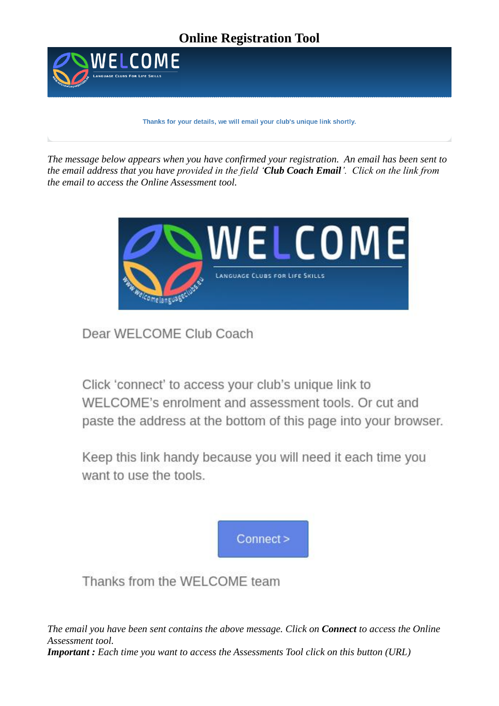

Thanks for your details, we will email your club's unique link shortly.

*The message below appears when you have confirmed your registration. An email has been sent to the email address that you have provided in the field 'Club Coach Email'. Click on the link from the email to access the Online Assessment tool.*



Dear WELCOME Club Coach

Click 'connect' to access your club's unique link to WELCOME's enrolment and assessment tools. Or cut and paste the address at the bottom of this page into your browser.

Keep this link handy because you will need it each time you want to use the tools.



Thanks from the WELCOME team

*The email you have been sent contains the above message. Click on Connect to access the Online Assessment tool. Important : Each time you want to access the Assessments Tool click on this button (URL)*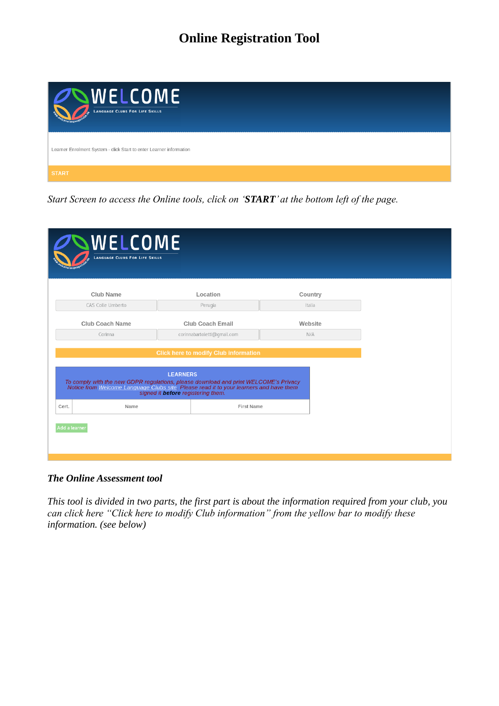| OWELCOME<br>LANGUAGE CLUBS FOR LIFE SKILLS<br>F                     |
|---------------------------------------------------------------------|
| Learner Enrolment System - click Start to enter Learner information |
| <b>START</b>                                                        |

*Start Screen to access the Online tools, click on 'START' at the bottom left of the page.*

| WELCOME<br><b>LANGUAGE CLUBS FOR LIFE SKILLS</b>                                                                                                                                                                                                                                        |                             |         |  |  |  |  |
|-----------------------------------------------------------------------------------------------------------------------------------------------------------------------------------------------------------------------------------------------------------------------------------------|-----------------------------|---------|--|--|--|--|
| <b>Club Name</b>                                                                                                                                                                                                                                                                        | Location                    | Country |  |  |  |  |
| CAS Colle Umberto                                                                                                                                                                                                                                                                       | Perugia                     | Italia  |  |  |  |  |
| <b>Club Coach Name</b>                                                                                                                                                                                                                                                                  | <b>Club Coach Email</b>     | Website |  |  |  |  |
| Corinna                                                                                                                                                                                                                                                                                 | corinnabartoletti@qmail.com | N/A     |  |  |  |  |
| <b>Click here to modify Club information</b><br><b>LEARNERS</b><br>To comply with the new GDPR regulations, please download and print WELCOME's Privacy<br>Notice from Welcome Language Clubs site, Please read it to your learners and have them<br>signed it before registering them. |                             |         |  |  |  |  |
| Name<br>Cert.                                                                                                                                                                                                                                                                           | <b>First Name</b>           |         |  |  |  |  |
| Add a learner                                                                                                                                                                                                                                                                           |                             |         |  |  |  |  |

#### *The Online Assessment tool*

*This tool is divided in two parts, the first part is about the information required from your club, you can click here "Click here to modify Club information" from the yellow bar to modify these information. (see below)*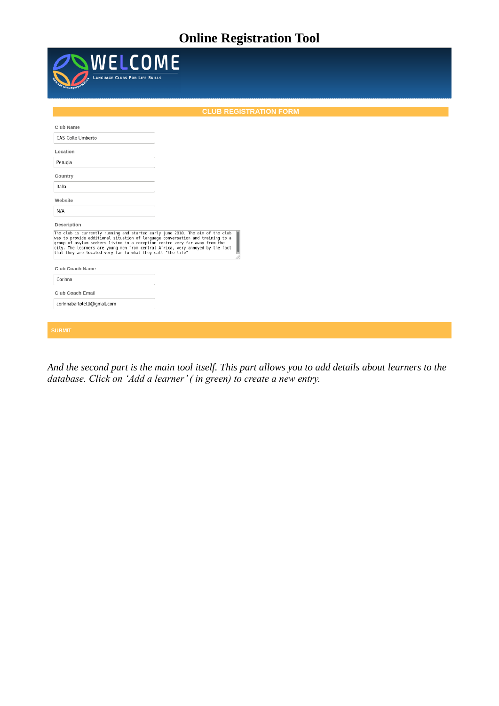| WELCOME<br><b>LANGUAGE CLUBS FOR LIFE SKILLS</b>                                                                                                                                                                                                                                                                                                                                                                |  |  |  |  |  |  |  |
|-----------------------------------------------------------------------------------------------------------------------------------------------------------------------------------------------------------------------------------------------------------------------------------------------------------------------------------------------------------------------------------------------------------------|--|--|--|--|--|--|--|
| <b>CLUB REGISTRATION FORM</b>                                                                                                                                                                                                                                                                                                                                                                                   |  |  |  |  |  |  |  |
| Club Name<br>CAS Colle Umberto                                                                                                                                                                                                                                                                                                                                                                                  |  |  |  |  |  |  |  |
| Location<br>Perugia                                                                                                                                                                                                                                                                                                                                                                                             |  |  |  |  |  |  |  |
| Country<br>Italia                                                                                                                                                                                                                                                                                                                                                                                               |  |  |  |  |  |  |  |
| Website<br>N/A                                                                                                                                                                                                                                                                                                                                                                                                  |  |  |  |  |  |  |  |
| Description<br>The club is currently running and started early june 2018. The aim of the club<br>was to provide additional situation of language conversation and training to a<br>group of asylum seekers living in a reception centre very far away from the<br>city. The learners are young men from central Africa, very annoyed by the fact<br>that they are located very far to what they call "the life" |  |  |  |  |  |  |  |
| Club Coach Name                                                                                                                                                                                                                                                                                                                                                                                                 |  |  |  |  |  |  |  |
| Corinna<br>Club Coach Email<br>corinnabartoletti@gmail.com                                                                                                                                                                                                                                                                                                                                                      |  |  |  |  |  |  |  |
| <b>SUBMIT</b>                                                                                                                                                                                                                                                                                                                                                                                                   |  |  |  |  |  |  |  |

*And the second part is the main tool itself. This part allows you to add details about learners to the database. Click on 'Add a learner' ( in green) to create a new entry.*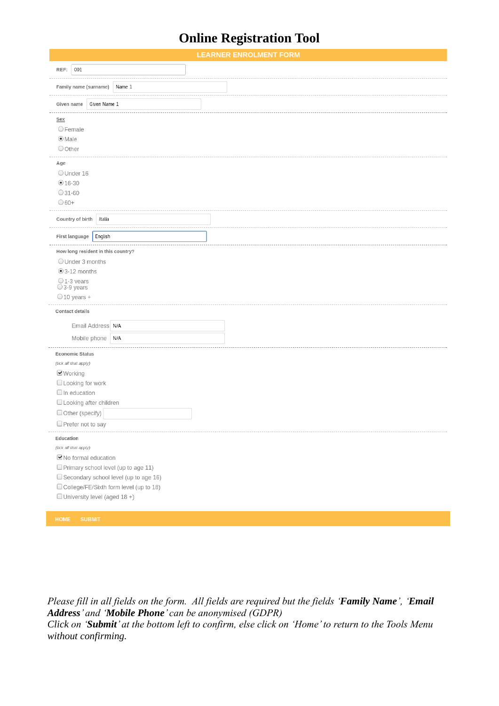|                                                                          |        | <b>LEARNER ENROLMENT FORM</b> |  |
|--------------------------------------------------------------------------|--------|-------------------------------|--|
| 001<br>REF:                                                              |        |                               |  |
|                                                                          |        |                               |  |
| Family name (surname)                                                    | Name 1 |                               |  |
| Given Name 1<br>Given name                                               |        |                               |  |
| <b>Sex</b>                                                               |        |                               |  |
| OFemale                                                                  |        |                               |  |
| $\odot$ Male                                                             |        |                               |  |
| <b>O</b> Other                                                           |        |                               |  |
| Age                                                                      |        |                               |  |
| OUnder 16                                                                |        |                               |  |
| $•16-30$                                                                 |        |                               |  |
| $O$ 31-60                                                                |        |                               |  |
| $\bigcirc$ 60+                                                           |        |                               |  |
| Country of birth<br>Italia                                               |        |                               |  |
| First language<br>English                                                |        |                               |  |
|                                                                          |        |                               |  |
| How long resident in this country?                                       |        |                               |  |
| O Under 3 months<br>$\odot$ 3-12 months                                  |        |                               |  |
| $O$ 1-3 years                                                            |        |                               |  |
| $\bigcirc$ 3-9 years                                                     |        |                               |  |
| $\bigcirc$ 10 years +                                                    |        |                               |  |
| Contact details                                                          |        |                               |  |
| Email Address N/A                                                        |        |                               |  |
| N/A<br>Mobile phone                                                      |        |                               |  |
| Economic Status                                                          |        |                               |  |
| (tick all that apply)                                                    |        |                               |  |
| ■Working                                                                 |        |                               |  |
| <b>Looking for work</b>                                                  |        |                               |  |
| $\Box$ In education                                                      |        |                               |  |
| □ Looking after children                                                 |        |                               |  |
| Other (specify)                                                          |        |                               |  |
| $\Box$ Prefer not to say                                                 |        |                               |  |
| Education                                                                |        |                               |  |
| (tick all that apply)                                                    |        |                               |  |
| ■No formal education                                                     |        |                               |  |
| Primary school level (up to age 11)                                      |        |                               |  |
| Secondary school level (up to age 16)                                    |        |                               |  |
| College/FE/Sixth form level (up to 18)<br>□ University level (aged 18 +) |        |                               |  |
|                                                                          |        |                               |  |
|                                                                          |        |                               |  |

*Please fill in all fields on the form. All fields are required but the fields 'Family Name', 'Email Address' and 'Mobile Phone' can be anonymised (GDPR) Click on 'Submit' at the bottom left to confirm, else click on 'Home' to return to the Tools Menu without confirming.*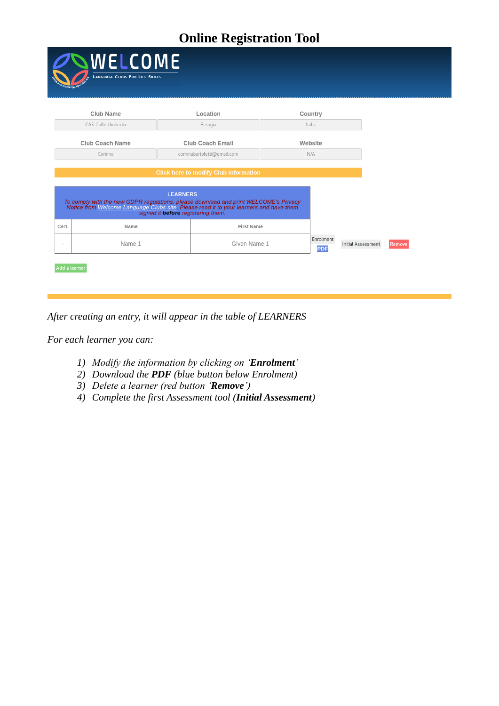|               | WELCOME<br><b>LANGUAGE CLUBS FOR LIFE SKILLS</b><br><i>nelanguan</i>                                                                                                                                                                    |  |                                              |  |                         |                    |  |        |  |
|---------------|-----------------------------------------------------------------------------------------------------------------------------------------------------------------------------------------------------------------------------------------|--|----------------------------------------------|--|-------------------------|--------------------|--|--------|--|
|               | <b>Club Name</b>                                                                                                                                                                                                                        |  | Location                                     |  | Country                 |                    |  |        |  |
|               | CAS Colle Umberto                                                                                                                                                                                                                       |  | Perugia                                      |  | Italia                  |                    |  |        |  |
|               | <b>Club Coach Name</b>                                                                                                                                                                                                                  |  | <b>Club Coach Email</b>                      |  | Website                 |                    |  |        |  |
|               | Corinna<br>corinnabartoletti@qmail.com                                                                                                                                                                                                  |  |                                              |  | N/A                     |                    |  |        |  |
|               |                                                                                                                                                                                                                                         |  | <b>Click here to modify Club information</b> |  |                         |                    |  |        |  |
|               | <b>LEARNERS</b><br>To comply with the new GDPR regulations, please download and print WELCOME's Privacy<br>Notice from Welcome Language Clubs site. Please read it to your learners and have them<br>signed it before registering them. |  |                                              |  |                         |                    |  |        |  |
| Cert.         | Name                                                                                                                                                                                                                                    |  | <b>First Name</b>                            |  |                         |                    |  |        |  |
| $\sim$        | Name 1                                                                                                                                                                                                                                  |  | Given Name 1                                 |  | Enrolment<br><b>PDF</b> | Initial Assessment |  | Remove |  |
| Add a learner |                                                                                                                                                                                                                                         |  |                                              |  |                         |                    |  |        |  |

*After creating an entry, it will appear in the table of LEARNERS*

*For each learner you can:*

- *1) Modify the information by clicking on 'Enrolment'*
- *2) Download the PDF (blue button below Enrolment)*
- *3) Delete a learner (red button 'Remove')*
- *4) Complete the first Assessment tool (Initial Assessment)*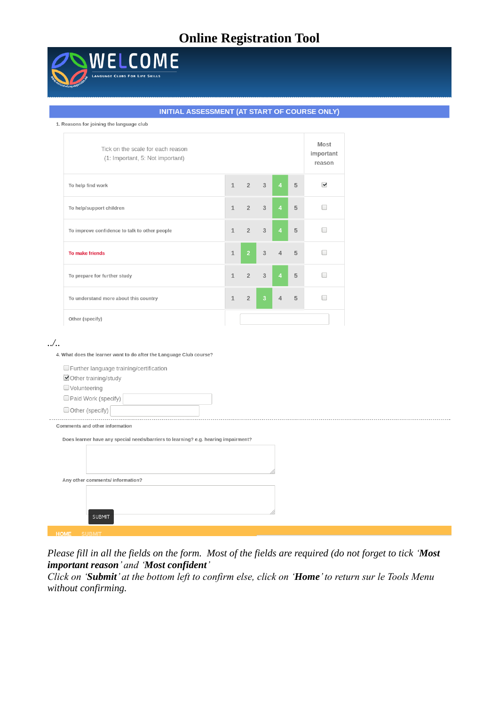

#### INITIAL ASSESSMENT (AT START OF COURSE ONLY)

#### 1. Reasons for joining the language club

| Tick on the scale for each reason<br>(1: Important, 5: Not important) |              |                     |                |                |   | Most<br>important<br>reason |
|-----------------------------------------------------------------------|--------------|---------------------|----------------|----------------|---|-----------------------------|
| To help find work                                                     |              | $1 \quad 2 \quad 3$ |                | 4 <sup>1</sup> | 5 | $\blacktriangledown$        |
| To help/support children                                              | $\mathbf{1}$ | $2 \t3$             |                | 4 <sup>1</sup> | 5 |                             |
| To improve confidence to talk to other people                         | $\mathbf{1}$ | $2^{\circ}$         | 3              | $\overline{4}$ | 5 |                             |
| <b>To make friends</b>                                                | $\mathbf{1}$ | 2 <sup>1</sup>      | $\overline{3}$ | $\overline{4}$ | 5 |                             |
| To prepare for further study                                          | $\mathbf{1}$ | $2^{\circ}$         | 3              | $\overline{4}$ | 5 |                             |
| To understand more about this country                                 | $\mathbf{1}$ | $\overline{2}$      | $\overline{3}$ | $\overline{4}$ | 5 |                             |
| Other (specify)                                                       |              |                     |                |                |   |                             |

*../..*

4. What does the learner want to do after the Language Club course?

| Further language training/certification                                            |
|------------------------------------------------------------------------------------|
| Other training/study                                                               |
| $\Box$ Volunteering                                                                |
| Paid Work (specify)                                                                |
| Other (specify)                                                                    |
| Comments and other information                                                     |
| Does learner have any special needs/barriers to learning? e.g. hearing impairment? |
|                                                                                    |
|                                                                                    |
|                                                                                    |
| Any other comments/ information?                                                   |
|                                                                                    |
|                                                                                    |
| <b>SUBMIT</b>                                                                      |
|                                                                                    |

*Please fill in all the fields on the form. Most of the fields are required (do not forget to tick 'Most important reason' and 'Most confident'*

*Click on 'Submit' at the bottom left to confirm else, click on 'Home' to return sur le Tools Menu without confirming.*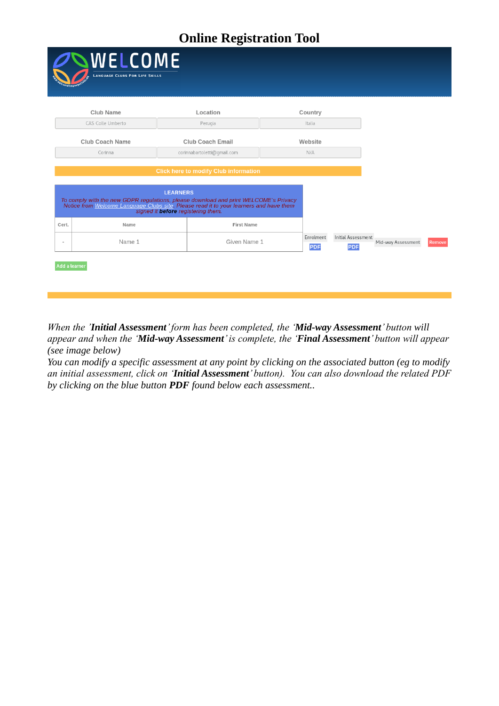|                          | WELCOME<br><b>LANGUAGE CLUBS FOR LIFE SKILLS</b>                                                                                                                                                                                                                                        |                             |                         |                                         |                    |        |  |  |  |
|--------------------------|-----------------------------------------------------------------------------------------------------------------------------------------------------------------------------------------------------------------------------------------------------------------------------------------|-----------------------------|-------------------------|-----------------------------------------|--------------------|--------|--|--|--|
|                          | <b>Club Name</b>                                                                                                                                                                                                                                                                        | Location                    |                         | Country                                 |                    |        |  |  |  |
|                          | CAS Colle Umberto                                                                                                                                                                                                                                                                       | Perugia                     |                         | Italia                                  |                    |        |  |  |  |
|                          |                                                                                                                                                                                                                                                                                         |                             |                         |                                         |                    |        |  |  |  |
|                          | <b>Club Coach Name</b>                                                                                                                                                                                                                                                                  | <b>Club Coach Email</b>     |                         | Website                                 |                    |        |  |  |  |
|                          | Corinna                                                                                                                                                                                                                                                                                 | corinnabartoletti@qmail.com |                         | N/A                                     |                    |        |  |  |  |
|                          | <b>Click here to modify Club information</b><br><b>LEARNERS</b><br>To comply with the new GDPR regulations, please download and print WELCOME's Privacy<br>Notice from Welcome Language Clubs site, Please read it to your learners and have them<br>signed it before registering them. |                             |                         |                                         |                    |        |  |  |  |
| Cert.                    | Name                                                                                                                                                                                                                                                                                    | <b>First Name</b>           |                         |                                         |                    |        |  |  |  |
| $\overline{\phantom{a}}$ | Name 1                                                                                                                                                                                                                                                                                  | Given Name 1                | Enrolment<br><b>PDF</b> | <b>Initial Assessment</b><br><b>PDF</b> | Mid-way Assessment | Remove |  |  |  |
| Add a learner            |                                                                                                                                                                                                                                                                                         |                             |                         |                                         |                    |        |  |  |  |

*When the 'Initial Assessment' form has been completed, the 'Mid-way Assessment' button will appear and when the 'Mid-way Assessment' is complete, the 'Final Assessment' button will appear (see image below)*

*You can modify a specific assessment at any point by clicking on the associated button (eg to modify an initial assessment, click on 'Initial Assessment' button). You can also download the related PDF by clicking on the blue button PDF found below each assessment..*